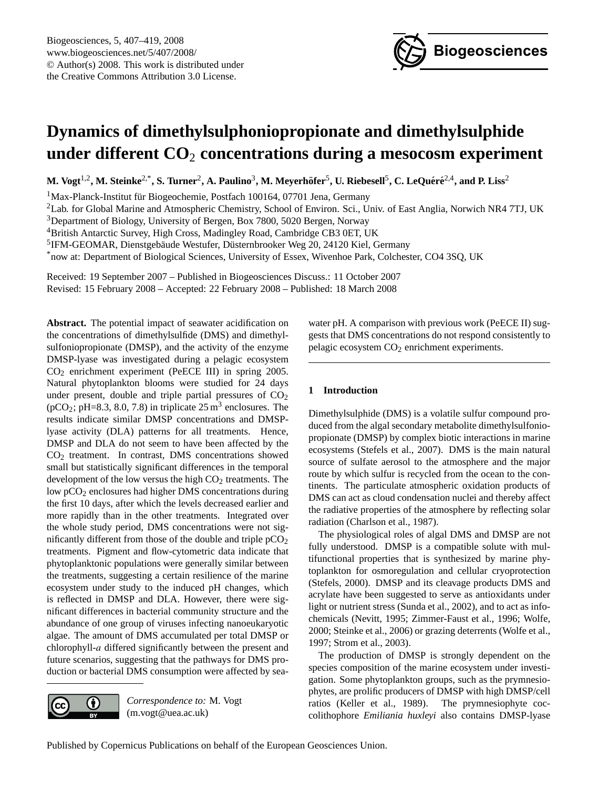

# <span id="page-0-0"></span>**Dynamics of dimethylsulphoniopropionate and dimethylsulphide under different CO**<sup>2</sup> **concentrations during a mesocosm experiment**

 $M$ . Vogt<sup>1,2</sup>, M. Steinke<sup>2,\*</sup>, S. Turner<sup>2</sup>, A. Paulino<sup>3</sup>, M. Meyerhöfer<sup>5</sup>, U. Riebesell<sup>5</sup>, C. LeQuéré<sup>2,4</sup>, and P. Liss<sup>2</sup>

<sup>1</sup>Max-Planck-Institut für Biogeochemie, Postfach 100164, 07701 Jena, Germany

<sup>2</sup>Lab. for Global Marine and Atmospheric Chemistry, School of Environ. Sci., Univ. of East Anglia, Norwich NR4 7TJ, UK

<sup>3</sup>Department of Biology, University of Bergen, Box 7800, 5020 Bergen, Norway

<sup>4</sup>British Antarctic Survey, High Cross, Madingley Road, Cambridge CB3 0ET, UK

<sup>5</sup>IFM-GEOMAR, Dienstgebäude Westufer, Düsternbrooker Weg 20, 24120 Kiel, Germany

\*now at: Department of Biological Sciences, University of Essex, Wivenhoe Park, Colchester, CO4 3SQ, UK

Received: 19 September 2007 – Published in Biogeosciences Discuss.: 11 October 2007 Revised: 15 February 2008 – Accepted: 22 February 2008 – Published: 18 March 2008

**Abstract.** The potential impact of seawater acidification on the concentrations of dimethylsulfide (DMS) and dimethylsulfoniopropionate (DMSP), and the activity of the enzyme DMSP-lyase was investigated during a pelagic ecosystem CO<sup>2</sup> enrichment experiment (PeECE III) in spring 2005. Natural phytoplankton blooms were studied for 24 days under present, double and triple partial pressures of  $CO<sub>2</sub>$  $(pCO<sub>2</sub>; pH=8.3, 8.0, 7.8)$  in triplicate 25 m<sup>3</sup> enclosures. The results indicate similar DMSP concentrations and DMSPlyase activity (DLA) patterns for all treatments. Hence, DMSP and DLA do not seem to have been affected by the CO<sup>2</sup> treatment. In contrast, DMS concentrations showed small but statistically significant differences in the temporal development of the low versus the high  $CO<sub>2</sub>$  treatments. The low pCO<sub>2</sub> enclosures had higher DMS concentrations during the first 10 days, after which the levels decreased earlier and more rapidly than in the other treatments. Integrated over the whole study period, DMS concentrations were not significantly different from those of the double and triple  $pCO<sub>2</sub>$ treatments. Pigment and flow-cytometric data indicate that phytoplanktonic populations were generally similar between the treatments, suggesting a certain resilience of the marine ecosystem under study to the induced pH changes, which is reflected in DMSP and DLA. However, there were significant differences in bacterial community structure and the abundance of one group of viruses infecting nanoeukaryotic algae. The amount of DMS accumulated per total DMSP or chlorophyll-a differed significantly between the present and future scenarios, suggesting that the pathways for DMS production or bacterial DMS consumption were affected by sea-



*Correspondence to:* M. Vogt (m.vogt@uea.ac.uk)

water pH. A comparison with previous work (PeECE II) suggests that DMS concentrations do not respond consistently to pelagic ecosystem CO<sup>2</sup> enrichment experiments.

## **1 Introduction**

Dimethylsulphide (DMS) is a volatile sulfur compound produced from the algal secondary metabolite dimethylsulfoniopropionate (DMSP) by complex biotic interactions in marine ecosystems (Stefels et al., 2007). DMS is the main natural source of sulfate aerosol to the atmosphere and the major route by which sulfur is recycled from the ocean to the continents. The particulate atmospheric oxidation products of DMS can act as cloud condensation nuclei and thereby affect the radiative properties of the atmosphere by reflecting solar radiation (Charlson et al., 1987).

The physiological roles of algal DMS and DMSP are not fully understood. DMSP is a compatible solute with multifunctional properties that is synthesized by marine phytoplankton for osmoregulation and cellular cryoprotection (Stefels, 2000). DMSP and its cleavage products DMS and acrylate have been suggested to serve as antioxidants under light or nutrient stress (Sunda et al., 2002), and to act as infochemicals (Nevitt, 1995; Zimmer-Faust et al., 1996; Wolfe, 2000; Steinke et al., 2006) or grazing deterrents (Wolfe et al., 1997; Strom et al., 2003).

The production of DMSP is strongly dependent on the species composition of the marine ecosystem under investigation. Some phytoplankton groups, such as the prymnesiophytes, are prolific producers of DMSP with high DMSP/cell ratios (Keller et al., 1989). The prymnesiophyte coccolithophore *Emiliania huxleyi* also contains DMSP-lyase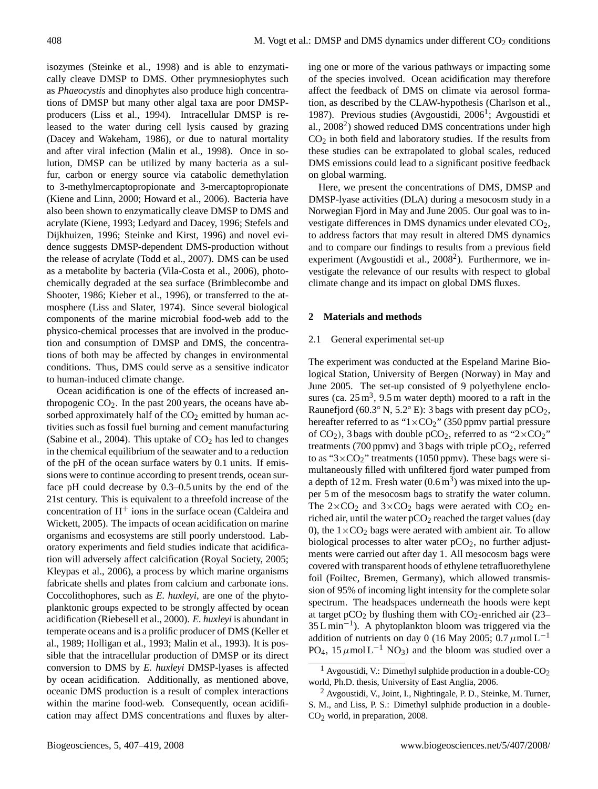isozymes (Steinke et al., 1998) and is able to enzymatically cleave DMSP to DMS. Other prymnesiophytes such as *Phaeocystis* and dinophytes also produce high concentrations of DMSP but many other algal taxa are poor DMSPproducers (Liss et al., 1994). Intracellular DMSP is released to the water during cell lysis caused by grazing (Dacey and Wakeham, 1986), or due to natural mortality and after viral infection (Malin et al., 1998). Once in solution, DMSP can be utilized by many bacteria as a sulfur, carbon or energy source via catabolic demethylation to 3-methylmercaptopropionate and 3-mercaptopropionate (Kiene and Linn, 2000; Howard et al., 2006). Bacteria have also been shown to enzymatically cleave DMSP to DMS and acrylate (Kiene, 1993; Ledyard and Dacey, 1996; Stefels and Dijkhuizen, 1996; Steinke and Kirst, 1996) and novel evidence suggests DMSP-dependent DMS-production without the release of acrylate (Todd et al., 2007). DMS can be used as a metabolite by bacteria (Vila-Costa et al., 2006), photochemically degraded at the sea surface (Brimblecombe and Shooter, 1986; Kieber et al., 1996), or transferred to the atmosphere (Liss and Slater, 1974). Since several biological components of the marine microbial food-web add to the physico-chemical processes that are involved in the production and consumption of DMSP and DMS, the concentrations of both may be affected by changes in environmental conditions. Thus, DMS could serve as a sensitive indicator to human-induced climate change.

Ocean acidification is one of the effects of increased anthropogenic  $CO<sub>2</sub>$ . In the past 200 years, the oceans have absorbed approximately half of the  $CO<sub>2</sub>$  emitted by human activities such as fossil fuel burning and cement manufacturing (Sabine et al., 2004). This uptake of  $CO<sub>2</sub>$  has led to changes in the chemical equilibrium of the seawater and to a reduction of the pH of the ocean surface waters by 0.1 units. If emissions were to continue according to present trends, ocean surface pH could decrease by 0.3–0.5 units by the end of the 21st century. This is equivalent to a threefold increase of the concentration of  $H<sup>+</sup>$  ions in the surface ocean (Caldeira and Wickett, 2005). The impacts of ocean acidification on marine organisms and ecosystems are still poorly understood. Laboratory experiments and field studies indicate that acidification will adversely affect calcification (Royal Society, 2005; Kleypas et al., 2006), a process by which marine organisms fabricate shells and plates from calcium and carbonate ions. Coccolithophores, such as *E. huxleyi*, are one of the phytoplanktonic groups expected to be strongly affected by ocean acidification (Riebesell et al., 2000). *E. huxleyi* is abundant in temperate oceans and is a prolific producer of DMS (Keller et al., 1989; Holligan et al., 1993; Malin et al., 1993). It is possible that the intracellular production of DMSP or its direct conversion to DMS by *E. huxleyi* DMSP-lyases is affected by ocean acidification. Additionally, as mentioned above, oceanic DMS production is a result of complex interactions within the marine food-web. Consequently, ocean acidification may affect DMS concentrations and fluxes by altering one or more of the various pathways or impacting some of the species involved. Ocean acidification may therefore affect the feedback of DMS on climate via aerosol formation, as described by the CLAW-hypothesis (Charlson et al., [1](#page-1-0)987). Previous studies (Avgoustidi, 2006<sup>1</sup>; Avgoustidi et al., [2](#page-1-1)008<sup>2</sup>) showed reduced DMS concentrations under high  $CO<sub>2</sub>$  in both field and laboratory studies. If the results from these studies can be extrapolated to global scales, reduced DMS emissions could lead to a significant positive feedback on global warming.

Here, we present the concentrations of DMS, DMSP and DMSP-lyase activities (DLA) during a mesocosm study in a Norwegian Fjord in May and June 2005. Our goal was to investigate differences in DMS dynamics under elevated CO2, to address factors that may result in altered DMS dynamics and to compare our findings to results from a previous field experiment (Avgoustidi et al.,  $2008<sup>2</sup>$  $2008<sup>2</sup>$ ). Furthermore, we investigate the relevance of our results with respect to global climate change and its impact on global DMS fluxes.

## **2 Materials and methods**

## 2.1 General experimental set-up

The experiment was conducted at the Espeland Marine Biological Station, University of Bergen (Norway) in May and June 2005. The set-up consisted of 9 polyethylene enclosures (ca.  $25 \text{ m}^3$ , 9.5 m water depth) moored to a raft in the Raunefjord (60.3 $\degree$  N, 5.2 $\degree$  E): 3 bags with present day pCO<sub>2</sub>, hereafter referred to as " $1 \times CO_2$ " (350 ppmv partial pressure of  $CO<sub>2</sub>$ ), 3 bags with double pCO<sub>2</sub>, referred to as "2×CO<sub>2</sub>" treatments (700 ppmv) and 3 bags with triple  $pCO<sub>2</sub>$ , referred to as " $3 \times CO_2$ " treatments (1050 ppmv). These bags were simultaneously filled with unfiltered fjord water pumped from a depth of 12 m. Fresh water  $(0.6 \text{ m}^3)$  was mixed into the upper 5 m of the mesocosm bags to stratify the water column. The  $2\times CO_2$  and  $3\times CO_2$  bags were aerated with  $CO_2$  enriched air, until the water  $pCO<sub>2</sub>$  reached the target values (day 0), the  $1\times$ CO<sub>2</sub> bags were aerated with ambient air. To allow biological processes to alter water  $pCO<sub>2</sub>$ , no further adjustments were carried out after day 1. All mesocosm bags were covered with transparent hoods of ethylene tetrafluorethylene foil (Foiltec, Bremen, Germany), which allowed transmission of 95% of incoming light intensity for the complete solar spectrum. The headspaces underneath the hoods were kept at target pCO<sub>2</sub> by flushing them with  $CO_2$ -enriched air (23– 35 L min−<sup>1</sup> ). A phytoplankton bloom was triggered via the addition of nutrients on day 0 (16 May 2005; 0.7  $\mu$ mol L<sup>-1</sup> PO<sub>4</sub>, 15  $\mu$ mol L<sup>-1</sup> NO<sub>3</sub>) and the bloom was studied over a

<span id="page-1-0"></span><sup>&</sup>lt;sup>1</sup> Avgoustidi, V.: Dimethyl sulphide production in a double-CO<sub>2</sub> world, Ph.D. thesis, University of East Anglia, 2006.

<span id="page-1-1"></span><sup>2</sup> Avgoustidi, V., Joint, I., Nightingale, P. D., Steinke, M. Turner, S. M., and Liss, P. S.: Dimethyl sulphide production in a double-CO<sub>2</sub> world, in preparation, 2008.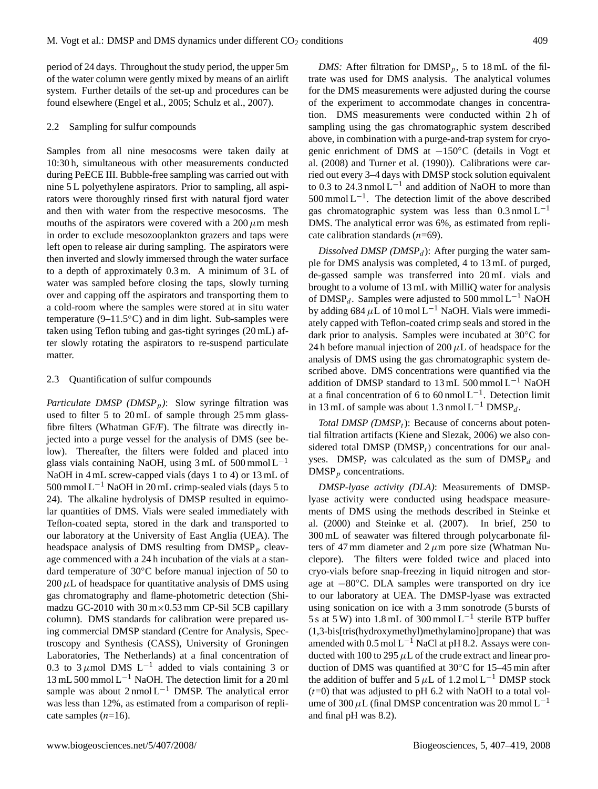period of 24 days. Throughout the study period, the upper 5m of the water column were gently mixed by means of an airlift system. Further details of the set-up and procedures can be found elsewhere (Engel et al., 2005; Schulz et al., 2007).

#### 2.2 Sampling for sulfur compounds

Samples from all nine mesocosms were taken daily at 10:30 h, simultaneous with other measurements conducted during PeECE III. Bubble-free sampling was carried out with nine 5 L polyethylene aspirators. Prior to sampling, all aspirators were thoroughly rinsed first with natural fjord water and then with water from the respective mesocosms. The mouths of the aspirators were covered with a 200  $\mu$ m mesh in order to exclude mesozooplankton grazers and taps were left open to release air during sampling. The aspirators were then inverted and slowly immersed through the water surface to a depth of approximately  $0.3$  m. A minimum of  $3L$  of water was sampled before closing the taps, slowly turning over and capping off the aspirators and transporting them to a cold-room where the samples were stored at in situ water temperature ( $9-11.5\textdegree$ C) and in dim light. Sub-samples were taken using Teflon tubing and gas-tight syringes (20 mL) after slowly rotating the aspirators to re-suspend particulate matter.

## 2.3 Quantification of sulfur compounds

*Particulate DMSP (DMSP<sub>p</sub>)*: Slow syringe filtration was used to filter 5 to 20 mL of sample through 25 mm glassfibre filters (Whatman GF/F). The filtrate was directly injected into a purge vessel for the analysis of DMS (see below). Thereafter, the filters were folded and placed into glass vials containing NaOH, using  $3 \text{ mL of } 500 \text{ mmol L}^{-1}$ NaOH in 4 mL screw-capped vials (days 1 to 4) or 13 mL of  $500$  mmol L<sup>-1</sup> NaOH in 20 mL crimp-sealed vials (days 5 to 24). The alkaline hydrolysis of DMSP resulted in equimolar quantities of DMS. Vials were sealed immediately with Teflon-coated septa, stored in the dark and transported to our laboratory at the University of East Anglia (UEA). The headspace analysis of DMS resulting from  $\text{DMSP}_p$  cleavage commenced with a 24 h incubation of the vials at a standard temperature of 30◦C before manual injection of 50 to  $200 \mu L$  of headspace for quantitative analysis of DMS using gas chromatography and flame-photometric detection (Shimadzu GC-2010 with  $30 \text{ m} \times 0.53 \text{ mm}$  CP-Sil 5CB capillary column). DMS standards for calibration were prepared using commercial DMSP standard (Centre for Analysis, Spectroscopy and Synthesis (CASS), University of Groningen Laboratories, The Netherlands) at a final concentration of 0.3 to 3  $\mu$ mol DMS L<sup>-1</sup> added to vials containing 3 or 13 mL 500 mmol  $L^{-1}$  NaOH. The detection limit for a 20 ml sample was about  $2 \text{ nmol } L^{-1}$  DMSP. The analytical error was less than 12%, as estimated from a comparison of replicate samples  $(n=16)$ .

*DMS:* After filtration for  $\text{DMSP}_p$ , 5 to 18 mL of the filtrate was used for DMS analysis. The analytical volumes for the DMS measurements were adjusted during the course of the experiment to accommodate changes in concentration. DMS measurements were conducted within 2 h of sampling using the gas chromatographic system described above, in combination with a purge-and-trap system for cryogenic enrichment of DMS at −150◦C (details in Vogt et al. (2008) and Turner et al. (1990)). Calibrations were carried out every 3–4 days with DMSP stock solution equivalent to 0.3 to 24.3 nmol  $L^{-1}$  and addition of NaOH to more than  $500$  mmol L<sup>-1</sup>. The detection limit of the above described gas chromatographic system was less than  $0.3 \text{ nmol L}^{-1}$ DMS. The analytical error was 6%, as estimated from replicate calibration standards  $(n=69)$ .

*Dissolved DMSP (DMSP<sub>d</sub>)*: After purging the water sample for DMS analysis was completed, 4 to 13 mL of purged, de-gassed sample was transferred into 20 mL vials and brought to a volume of 13 mL with MilliQ water for analysis of DMSP<sub>d</sub>. Samples were adjusted to 500 mmol L<sup>-1</sup> NaOH by adding 684  $\mu$ L of 10 mol L<sup>-1</sup> NaOH. Vials were immediately capped with Teflon-coated crimp seals and stored in the dark prior to analysis. Samples were incubated at 30◦C for 24 h before manual injection of 200  $\mu$ L of headspace for the analysis of DMS using the gas chromatographic system described above. DMS concentrations were quantified via the addition of DMSP standard to 13 mL 500 mmol  $L^{-1}$  NaOH at a final concentration of 6 to 60 nmol  $L^{-1}$ . Detection limit in 13 mL of sample was about 1.3 nmol L<sup>-1</sup> DMSP<sub>d</sub>.

*Total DMSP (DMSP<sub>t</sub>)*: Because of concerns about potential filtration artifacts (Kiene and Slezak, 2006) we also considered total DMSP ( $DMSP_t$ ) concentrations for our analyses. DMSP<sub>t</sub> was calculated as the sum of  $DMSP<sub>d</sub>$  and  $\text{DMSP}_p$  concentrations.

*DMSP-lyase activity (DLA)*: Measurements of DMSPlyase activity were conducted using headspace measurements of DMS using the methods described in Steinke et al. (2000) and Steinke et al. (2007). In brief, 250 to 300 mL of seawater was filtered through polycarbonate filters of 47 mm diameter and  $2 \mu m$  pore size (Whatman Nuclepore). The filters were folded twice and placed into cryo-vials before snap-freezing in liquid nitrogen and storage at −80◦C. DLA samples were transported on dry ice to our laboratory at UEA. The DMSP-lyase was extracted using sonication on ice with a 3 mm sonotrode (5 bursts of 5 s at 5 W) into 1.8 mL of 300 mmol L<sup>-1</sup> sterile BTP buffer (1,3-bis[tris(hydroxymethyl)methylamino]propane) that was amended with  $0.5 \text{ mol L}^{-1}$  NaCl at pH 8.2. Assays were conducted with 100 to 295  $\mu$ L of the crude extract and linear production of DMS was quantified at 30◦C for 15–45 min after the addition of buffer and  $5 \mu L$  of 1.2 mol L<sup>-1</sup> DMSP stock  $(t=0)$  that was adjusted to pH 6.2 with NaOH to a total volume of 300  $\mu$ L (final DMSP concentration was 20 mmol L<sup>-1</sup> and final pH was 8.2).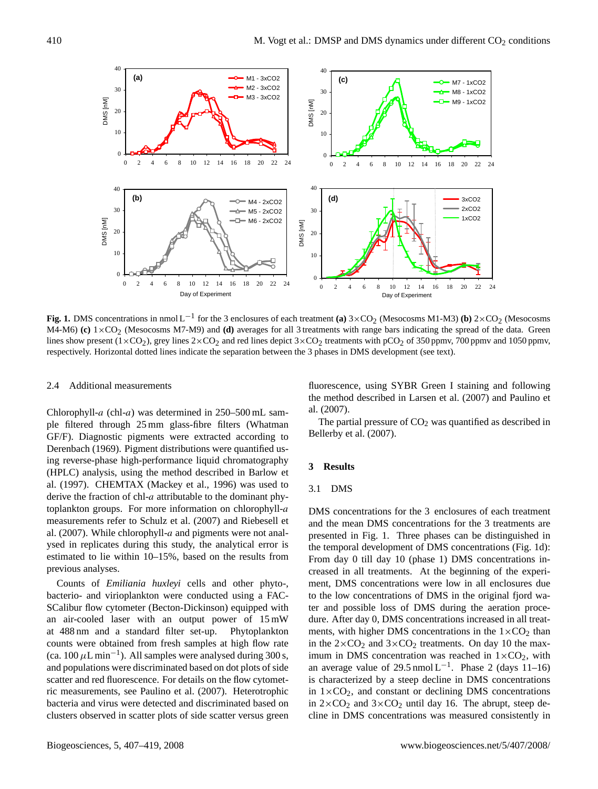

**Fig. 1.** DMS concentrations in nmol L<sup>-1</sup> for the 3 enclosures of each treatment **(a)** 3×CO<sub>2</sub> (Mesocosms M1-M3) **(b)** 2×CO<sub>2</sub> (Mesocosms M4-M6) **(c)**  $1 \times CO_2$  (Mesocosms M7-M9) and **(d)** averages for all 3 treatments with range bars indicating the spread of the data. Green lines show present  $(1 \times CO_2)$ , grey lines  $2 \times CO_2$  and red lines depict  $3 \times CO_2$  treatments with pCO<sub>2</sub> of 350 ppmv, 700 ppmv and 1050 ppmv, respectively. Horizontal dotted lines indicate the separation between the 3 phases in DMS development (see text).

#### 2.4 Additional measurements

Chlorophyll-a (chl-a) was determined in  $250-500$  mL sample filtered through 25 mm glass-fibre filters (Whatman GF/F). Diagnostic pigments were extracted according to Derenbach (1969). Pigment distributions were quantified using reverse-phase high-performance liquid chromatography (HPLC) analysis, using the method described in Barlow et al. (1997). CHEMTAX (Mackey et al., 1996) was used to derive the fraction of chl-a attributable to the dominant phytoplankton groups. For more information on chlorophyll-a measurements refer to Schulz et al. (2007) and Riebesell et al. (2007). While chlorophyll- $a$  and pigments were not analysed in replicates during this study, the analytical error is estimated to lie within 10–15%, based on the results from previous analyses.

Counts of *Emiliania huxleyi* cells and other phyto-, bacterio- and virioplankton were conducted using a FAC-SCalibur flow cytometer (Becton-Dickinson) equipped with an air-cooled laser with an output power of 15 mW at 488 nm and a standard filter set-up. Phytoplankton counts were obtained from fresh samples at high flow rate (ca.  $100 \mu L \text{min}^{-1}$ ). All samples were analysed during 300 s, and populations were discriminated based on dot plots of side scatter and red fluorescence. For details on the flow cytometric measurements, see Paulino et al. (2007). Heterotrophic bacteria and virus were detected and discriminated based on clusters observed in scatter plots of side scatter versus green

fluorescence, using SYBR Green I staining and following the method described in Larsen et al. (2007) and Paulino et al. (2007).

The partial pressure of  $CO<sub>2</sub>$  was quantified as described in Bellerby et al. (2007).

#### **3 Results**

## 3.1 DMS

DMS concentrations for the 3 enclosures of each treatment and the mean DMS concentrations for the 3 treatments are presented in Fig. 1. Three phases can be distinguished in the temporal development of DMS concentrations (Fig. 1d): From day 0 till day 10 (phase 1) DMS concentrations increased in all treatments. At the beginning of the experiment, DMS concentrations were low in all enclosures due to the low concentrations of DMS in the original fjord water and possible loss of DMS during the aeration procedure. After day 0, DMS concentrations increased in all treatments, with higher DMS concentrations in the  $1\times$ CO<sub>2</sub> than in the  $2\times$ CO<sub>2</sub> and  $3\times$ CO<sub>2</sub> treatments. On day 10 the maximum in DMS concentration was reached in  $1\times CO_2$ , with an average value of 29.5 nmol  $L^{-1}$ . Phase 2 (days 11-16) is characterized by a steep decline in DMS concentrations in  $1\times CO<sub>2</sub>$ , and constant or declining DMS concentrations in  $2 \times CO_2$  and  $3 \times CO_2$  until day 16. The abrupt, steep decline in DMS concentrations was measured consistently in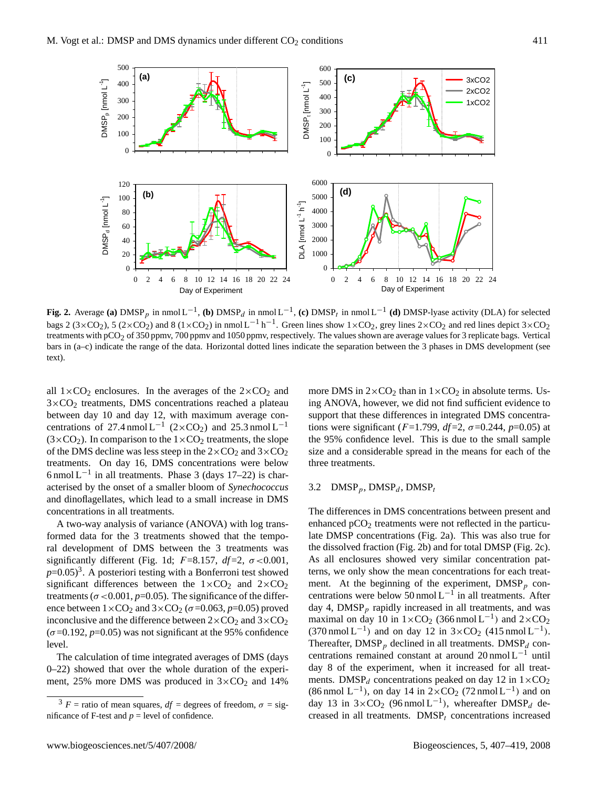

**Fig. 2.** Average (a) DMSP<sub>p</sub> in nmol L<sup>-1</sup>, (b) DMSP<sub>d</sub> in nmol L<sup>-1</sup>, (c) DMSP<sub>t</sub> in nmol L<sup>-1</sup> (d) DMSP-lyase activity (DLA) for selected bags 2 (3×CO<sub>2</sub>), 5 (2×CO<sub>2</sub>) and 8 (1×CO<sub>2</sub>) in nmol L<sup>-1</sup> h<sup>-1</sup>. Green lines show 1×CO<sub>2</sub>, grey lines 2×CO<sub>2</sub> and red lines depict 3×CO<sub>2</sub> treatments with pCO<sub>2</sub> of 350 ppmv, 700 ppmv and 1050 ppmv, respectively. The values shown are average values for 3 replicate bags. Vertical bars in (a–c) indicate the range of the data. Horizontal dotted lines indicate the separation between the 3 phases in DMS development (see text).

all  $1\times$ CO<sub>2</sub> enclosures. In the averages of the  $2\times$ CO<sub>2</sub> and  $3\times$ CO<sub>2</sub> treatments, DMS concentrations reached a plateau between day 10 and day 12, with maximum average concentrations of 27.4 nmol  $L^{-1}$  (2×CO<sub>2</sub>) and 25.3 nmol  $L^{-1}$  $(3\times CO<sub>2</sub>)$ . In comparison to the  $1\times CO<sub>2</sub>$  treatments, the slope of the DMS decline was less steep in the  $2 \times CO_2$  and  $3 \times CO_2$ treatments. On day 16, DMS concentrations were below 6 nmol  $L^{-1}$  in all treatments. Phase 3 (days 17–22) is characterised by the onset of a smaller bloom of *Synechococcus* and dinoflagellates, which lead to a small increase in DMS concentrations in all treatments.

A two-way analysis of variance (ANOVA) with log transformed data for the 3 treatments showed that the temporal development of DMS between the 3 treatments was significantly different (Fig. 1d;  $F=8.157$ ,  $df=2$ ,  $\sigma < 0.001$ ,  $p=0.05$ <sup>[3](#page-4-0)</sup>. A posteriori testing with a Bonferroni test showed significant differences between the  $1 \times CO_2$  and  $2 \times CO_2$ treatments ( $\sigma$  <0.001,  $p$ =0.05). The significance of the difference between  $1 \times CO_2$  and  $3 \times CO_2$  ( $\sigma$ =0.063,  $p$ =0.05) proved inconclusive and the difference between  $2 \times CO_2$  and  $3 \times CO_2$  $(\sigma=0.192, p=0.05)$  was not significant at the 95% confidence level.

The calculation of time integrated averages of DMS (days 0–22) showed that over the whole duration of the experiment, 25% more DMS was produced in  $3 \times CO_2$  and 14%

more DMS in  $2 \times CO_2$  than in  $1 \times CO_2$  in absolute terms. Using ANOVA, however, we did not find sufficient evidence to support that these differences in integrated DMS concentrations were significant ( $F=1.799$ ,  $df=2$ ,  $\sigma=0.244$ ,  $p=0.05$ ) at the 95% confidence level. This is due to the small sample size and a considerable spread in the means for each of the three treatments.

## 3.2 DMSP<sub>p</sub>, DMSP<sub>d</sub>, DMSP<sub>t</sub>

The differences in DMS concentrations between present and enhanced  $pCO<sub>2</sub>$  treatments were not reflected in the particulate DMSP concentrations (Fig. 2a). This was also true for the dissolved fraction (Fig. 2b) and for total DMSP (Fig. 2c). As all enclosures showed very similar concentration patterns, we only show the mean concentrations for each treatment. At the beginning of the experiment,  $\text{DMSP}_p$  concentrations were below 50 nmol  $L^{-1}$  in all treatments. After day 4,  $DMSP<sub>p</sub>$  rapidly increased in all treatments, and was maximal on day 10 in  $1 \times CO_2$  (366 nmol L<sup>-1</sup>) and  $2 \times CO_2$  $(370 \text{ nmol L}^{-1})$  and on day 12 in  $3 \times CO_2$  (415 nmol L<sup>-1</sup>). Thereafter,  $\text{DMSP}_p$  declined in all treatments.  $\text{DMSP}_d$  concentrations remained constant at around 20 nmol L−<sup>1</sup> until day 8 of the experiment, when it increased for all treatments. DMSP<sub>d</sub> concentrations peaked on day 12 in  $1 \times CO_2$  $(86 \text{ nmol L}^{-1})$ , on day 14 in  $2 \times CO_2$  (72 nmol L<sup>-1</sup>) and on day 13 in  $3 \times CO_2$  (96 nmol L<sup>-1</sup>), whereafter DMSP<sub>d</sub> decreased in all treatments.  $DMSP<sub>t</sub>$  concentrations increased

<span id="page-4-0"></span> $3 F$  = ratio of mean squares,  $df$  = degrees of freedom,  $\sigma$  = significance of F-test and  $p =$  level of confidence.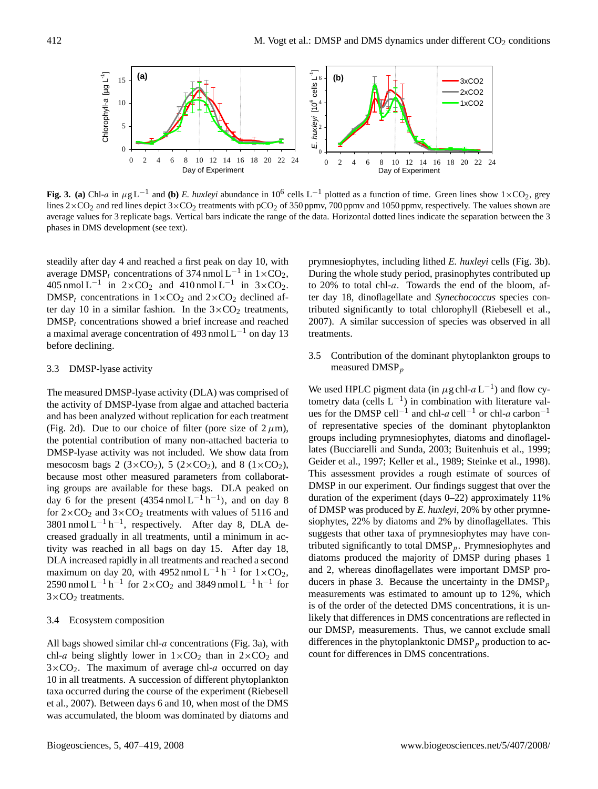

**Fig. 3.** (a) Chl-a in  $\mu$ g L<sup>-1</sup> and (b) *E. huxleyi* abundance in 10<sup>6</sup> cells L<sup>-1</sup> plotted as a function of time. Green lines show 1×CO<sub>2</sub>, grey lines  $2 \times CO_2$  and red lines depict  $3 \times CO_2$  treatments with pCO<sub>2</sub> of 350 ppmv, 700 ppmv and 1050 ppmv, respectively. The values shown are average values for 3 replicate bags. Vertical bars indicate the range of the data. Horizontal dotted lines indicate the separation between the 3 phases in DMS development (see text).

steadily after day 4 and reached a first peak on day 10, with average DMSP<sub>t</sub> concentrations of 374 nmol L<sup>-1</sup> in  $1 \times CO_2$ , 405 nmol L<sup>-1</sup> in  $2 \times CO_2$  and 410 nmol L<sup>-1</sup> in  $3 \times CO_2$ . DMSP<sub>t</sub> concentrations in  $1 \times CO_2$  and  $2 \times CO_2$  declined after day 10 in a similar fashion. In the  $3 \times CO_2$  treatments,  $DMSP<sub>t</sub>$  concentrations showed a brief increase and reached a maximal average concentration of 493 nmol  $L^{-1}$  on day 13 before declining.

#### 3.3 DMSP-lyase activity

The measured DMSP-lyase activity (DLA) was comprised of the activity of DMSP-lyase from algae and attached bacteria and has been analyzed without replication for each treatment (Fig. 2d). Due to our choice of filter (pore size of  $2 \mu m$ ), the potential contribution of many non-attached bacteria to DMSP-lyase activity was not included. We show data from mesocosm bags 2 ( $3 \times CO_2$ ), 5 ( $2 \times CO_2$ ), and 8 ( $1 \times CO_2$ ), because most other measured parameters from collaborating groups are available for these bags. DLA peaked on day 6 for the present  $(4354 \text{ nmol L}^{-1} \text{h}^{-1})$ , and on day 8 for  $2\times$ CO<sub>2</sub> and  $3\times$ CO<sub>2</sub> treatments with values of 5116 and 3801 nmol  $L^{-1} h^{-1}$ , respectively. After day 8, DLA decreased gradually in all treatments, until a minimum in activity was reached in all bags on day 15. After day 18, DLA increased rapidly in all treatments and reached a second maximum on day 20, with 4952 nmol  $L^{-1}$  h<sup>-1</sup> for  $1 \times CO_2$ , 2590 nmol L<sup>-1</sup> h<sup>-1</sup> for 2×CO<sub>2</sub> and 3849 nmol L<sup>-1</sup> h<sup>-1</sup> for  $3\times$ CO<sub>2</sub> treatments.

#### 3.4 Ecosystem composition

All bags showed similar chl- $a$  concentrations (Fig. 3a), with chl-a being slightly lower in  $1 \times CO_2$  than in  $2 \times CO_2$  and  $3\times$ CO<sub>2</sub>. The maximum of average chl-a occurred on day 10 in all treatments. A succession of different phytoplankton taxa occurred during the course of the experiment (Riebesell et al., 2007). Between days 6 and 10, when most of the DMS was accumulated, the bloom was dominated by diatoms and prymnesiophytes, including lithed *E. huxleyi* cells (Fig. 3b). During the whole study period, prasinophytes contributed up to 20% to total chl-a. Towards the end of the bloom, after day 18, dinoflagellate and *Synechococcus* species contributed significantly to total chlorophyll (Riebesell et al., 2007). A similar succession of species was observed in all treatments.

3.5 Contribution of the dominant phytoplankton groups to measured  $DMSP<sub>p</sub>$ 

We used HPLC pigment data (in  $\mu$ g chl- $a$  L<sup>-1</sup>) and flow cytometry data (cells  $L^{-1}$ ) in combination with literature values for the DMSP cell<sup>-1</sup> and chl-a cell<sup>-1</sup> or chl-a carbon<sup>-1</sup> of representative species of the dominant phytoplankton groups including prymnesiophytes, diatoms and dinoflagellates (Bucciarelli and Sunda, 2003; Buitenhuis et al., 1999; Geider et al., 1997; Keller et al., 1989; Steinke et al., 1998). This assessment provides a rough estimate of sources of DMSP in our experiment. Our findings suggest that over the duration of the experiment (days 0–22) approximately 11% of DMSP was produced by *E. huxleyi*, 20% by other prymnesiophytes, 22% by diatoms and 2% by dinoflagellates. This suggests that other taxa of prymnesiophytes may have contributed significantly to total  $\text{DMSP}_p$ . Prymnesiophytes and diatoms produced the majority of DMSP during phases 1 and 2, whereas dinoflagellates were important DMSP producers in phase 3. Because the uncertainty in the  $\text{DMSP}_p$ measurements was estimated to amount up to 12%, which is of the order of the detected DMS concentrations, it is unlikely that differences in DMS concentrations are reflected in our  $DMSP<sub>t</sub>$  measurements. Thus, we cannot exclude small differences in the phytoplanktonic  $\text{DMSP}_p$  production to account for differences in DMS concentrations.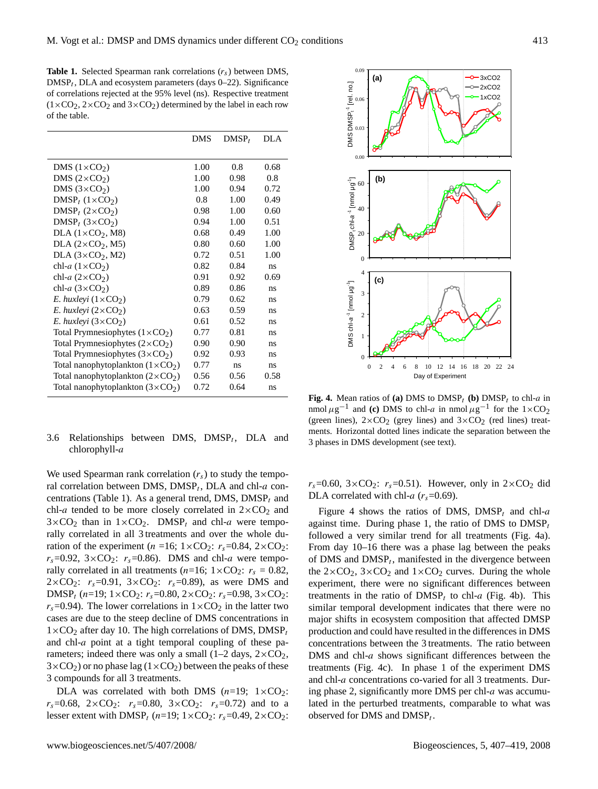**Table 1.** Selected Spearman rank correlations  $(r_s)$  between DMS,  $\text{DMSP}_t$ , DLA and ecosystem parameters (days 0–22). Significance of correlations rejected at the 95% level (ns). Respective treatment  $(1 \times CO_2, 2 \times CO_2$  and  $3 \times CO_2$ ) determined by the label in each row of the table.

|                                          | <b>DMS</b> | $DMSP_t$ | DLA  |
|------------------------------------------|------------|----------|------|
|                                          |            |          |      |
| DMS $(1 \times CO2)$                     | 1.00       | 0.8      | 0.68 |
| DMS $(2 \times CO2)$                     | 1.00       | 0.98     | 0.8  |
| DMS $(3 \times CO2)$                     | 1.00       | 0.94     | 0.72 |
| $DMSP_t$ (1×CO <sub>2</sub> )            | 0.8        | 1.00     | 0.49 |
| $DMSP_t$ (2×CO <sub>2</sub> )            | 0.98       | 1.00     | 0.60 |
| $DMSP_t$ (3×CO <sub>2</sub> )            | 0.94       | 1.00     | 0.51 |
| $DLA (1 \times CO2, M8)$                 | 0.68       | 0.49     | 1.00 |
| $DLA (2 \times CO2, M5)$                 | 0.80       | 0.60     | 1.00 |
| DLA $(3 \times CO_2, M2)$                | 0.72       | 0.51     | 1.00 |
| chl-a $(1 \times CO2)$                   | 0.82       | 0.84     | ns   |
| chl-a $(2\times CO2)$                    | 0.91       | 0.92     | 0.69 |
| chl-a $(3 \times CO2)$                   | 0.89       | 0.86     | ns   |
| E. huxleyi $(1 \times CO_2)$             | 0.79       | 0.62     | ns   |
| E. huxleyi $(2 \times CO_2)$             | 0.63       | 0.59     | ns   |
| E. huxleyi $(3 \times CO_2)$             | 0.61       | 0.52     | ns   |
| Total Prymnesiophytes $(1 \times CO2)$   | 0.77       | 0.81     | ns   |
| Total Prymnesiophytes $(2 \times CO_2)$  | 0.90       | 0.90     | ns   |
| Total Prymnesiophytes $(3 \times CO2)$   | 0.92       | 0.93     | ns   |
| Total nanophytoplankton $(1 \times CO2)$ | 0.77       | ns       | ns   |
| Total nanophytoplankton $(2 \times CO2)$ | 0.56       | 0.56     | 0.58 |
| Total nanophytoplankton $(3 \times CO2)$ | 0.72       | 0.64     | ns   |

## 3.6 Relationships between DMS,  $DMSP_t$ , DLA and chlorophyll-a

We used Spearman rank correlation  $(r<sub>s</sub>)$  to study the temporal correlation between DMS,  $DMSP_t$ , DLA and chl-a concentrations (Table 1). As a general trend, DMS,  $DMSP<sub>t</sub>$  and chl-a tended to be more closely correlated in  $2\times CO_2$  and  $3\times$ CO<sub>2</sub> than in  $1\times$ CO<sub>2</sub>. DMSP<sub>t</sub> and chl-a were temporally correlated in all 3 treatments and over the whole duration of the experiment (n =16;  $1 \times CO_2$ :  $r_s$ =0.84,  $2 \times CO_2$ :  $r_s$ =0.92, 3×CO<sub>2</sub>:  $r_s$ =0.86). DMS and chl-*a* were temporally correlated in all treatments ( $n=16$ ;  $1\times CO_2$ :  $r_s = 0.82$ ,  $2 \times CO_2$ :  $r_s = 0.91$ ,  $3 \times CO_2$ :  $r_s = 0.89$ ), as were DMS and DMSP<sub>t</sub> (n=19;  $1 \times CO_2$ :  $r_s$ =0.80,  $2 \times CO_2$ :  $r_s$ =0.98,  $3 \times CO_2$ :  $r_s$ =0.94). The lower correlations in  $1\times$ CO<sub>2</sub> in the latter two cases are due to the steep decline of DMS concentrations in  $1\times$ CO<sub>2</sub> after day 10. The high correlations of DMS, DMSP<sub>t</sub> and chl-a point at a tight temporal coupling of these parameters; indeed there was only a small (1–2 days,  $2 \times CO_2$ ,  $3\times$ CO<sub>2</sub>) or no phase lag ( $1\times$ CO<sub>2</sub>) between the peaks of these 3 compounds for all 3 treatments.

DLA was correlated with both DMS  $(n=19; 1 \times CO_2)$ :  $r_s = 0.68$ ,  $2 \times CO_2$ :  $r_s = 0.80$ ,  $3 \times CO_2$ :  $r_s = 0.72$ ) and to a lesser extent with DMSP<sub>t</sub> (n=19;  $1 \times CO_2$ :  $r_s$ =0.49,  $2 \times CO_2$ :



**Fig. 4.** Mean ratios of (a) DMS to DMSP<sub>t</sub> (b) DMSP<sub>t</sub> to chl-a in nmol  $\mu$ g<sup>-1</sup> and **(c)** DMS to chl-a in nmol  $\mu$ g<sup>-1</sup> for the 1×CO<sub>2</sub> (green lines),  $2 \times CO_2$  (grey lines) and  $3 \times CO_2$  (red lines) treatments. Horizontal dotted lines indicate the separation between the 3 phases in DMS development (see text).

 $r_s$ =0.60, 3×CO<sub>2</sub>:  $r_s$ =0.51). However, only in 2×CO<sub>2</sub> did DLA correlated with chl-a  $(r_s=0.69)$ .

Figure 4 shows the ratios of DMS, DMSP<sub>t</sub> and chl-a against time. During phase 1, the ratio of DMS to  $\text{DMSP}_t$ followed a very similar trend for all treatments (Fig. 4a). From day 10–16 there was a phase lag between the peaks of DMS and  $DMSP_t$ , manifested in the divergence between the  $2 \times CO_2$ ,  $3 \times CO_2$  and  $1 \times CO_2$  curves. During the whole experiment, there were no significant differences between treatments in the ratio of  $DMSP<sub>t</sub>$  to chl-a (Fig. 4b). This similar temporal development indicates that there were no major shifts in ecosystem composition that affected DMSP production and could have resulted in the differences in DMS concentrations between the 3 treatments. The ratio between DMS and  $\text{ch}$ - $a$  shows significant differences between the treatments (Fig. 4c). In phase 1 of the experiment DMS and chl-a concentrations co-varied for all 3 treatments. During phase 2, significantly more DMS per chl-a was accumulated in the perturbed treatments, comparable to what was observed for DMS and  $DMSP_t$ .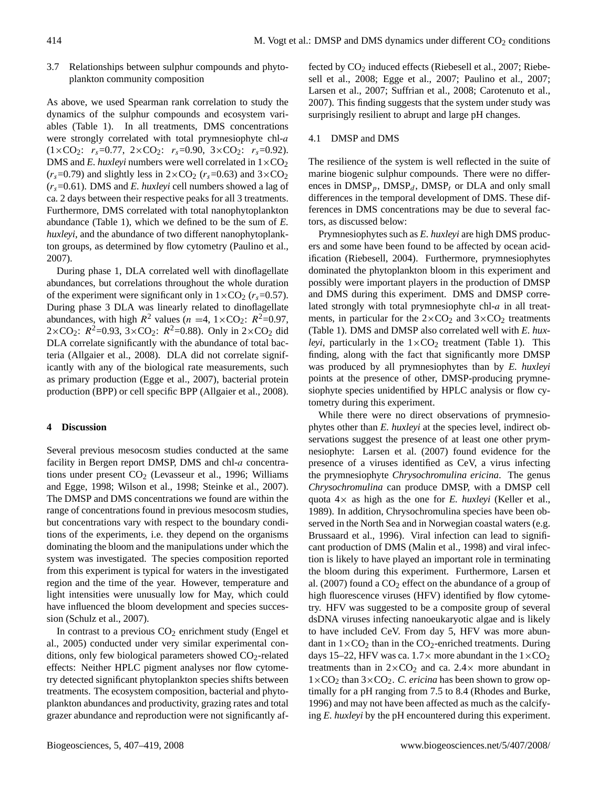3.7 Relationships between sulphur compounds and phytoplankton community composition

As above, we used Spearman rank correlation to study the dynamics of the sulphur compounds and ecosystem variables (Table 1). In all treatments, DMS concentrations were strongly correlated with total prymnesiophyte chl-a  $(1 \times CO_2$ :  $r_s = 0.77$ ,  $2 \times CO_2$ :  $r_s = 0.90$ ,  $3 \times CO_2$ :  $r_s = 0.92$ ). DMS and *E. huxleyi* numbers were well correlated in  $1 \times CO<sub>2</sub>$  $(r_s=0.79)$  and slightly less in  $2\times$ CO<sub>2</sub> ( $r_s=0.63$ ) and  $3\times$ CO<sub>2</sub>  $(r_s=0.61)$ . DMS and *E. huxleyi* cell numbers showed a lag of ca. 2 days between their respective peaks for all 3 treatments. Furthermore, DMS correlated with total nanophytoplankton abundance (Table 1), which we defined to be the sum of *E. huxleyi*, and the abundance of two different nanophytoplankton groups, as determined by flow cytometry (Paulino et al., 2007).

During phase 1, DLA correlated well with dinoflagellate abundances, but correlations throughout the whole duration of the experiment were significant only in  $1 \times CO_2$  ( $r_s$ =0.57). During phase 3 DLA was linearly related to dinoflagellate abundances, with high  $R^2$  values ( $n = 4$ ,  $1 \times CO_2$ :  $R^2 = 0.97$ ,  $2 \times CO_2$ :  $R^2 = 0.93$ ,  $3 \times CO_2$ :  $R^2 = 0.88$ ). Only in  $2 \times CO_2$  did DLA correlate significantly with the abundance of total bacteria (Allgaier et al., 2008). DLA did not correlate significantly with any of the biological rate measurements, such as primary production (Egge et al., 2007), bacterial protein production (BPP) or cell specific BPP (Allgaier et al., 2008).

## **4 Discussion**

Several previous mesocosm studies conducted at the same facility in Bergen report DMSP, DMS and chl-a concentrations under present  $CO<sub>2</sub>$  (Levasseur et al., 1996; Williams and Egge, 1998; Wilson et al., 1998; Steinke et al., 2007). The DMSP and DMS concentrations we found are within the range of concentrations found in previous mesocosm studies, but concentrations vary with respect to the boundary conditions of the experiments, i.e. they depend on the organisms dominating the bloom and the manipulations under which the system was investigated. The species composition reported from this experiment is typical for waters in the investigated region and the time of the year. However, temperature and light intensities were unusually low for May, which could have influenced the bloom development and species succession (Schulz et al., 2007).

In contrast to a previous  $CO<sub>2</sub>$  enrichment study (Engel et al., 2005) conducted under very similar experimental conditions, only few biological parameters showed  $CO<sub>2</sub>$ -related effects: Neither HPLC pigment analyses nor flow cytometry detected significant phytoplankton species shifts between treatments. The ecosystem composition, bacterial and phytoplankton abundances and productivity, grazing rates and total grazer abundance and reproduction were not significantly affected by CO<sub>2</sub> induced effects (Riebesell et al., 2007; Riebesell et al., 2008; Egge et al., 2007; Paulino et al., 2007; Larsen et al., 2007; Suffrian et al., 2008; Carotenuto et al., 2007). This finding suggests that the system under study was surprisingly resilient to abrupt and large pH changes.

#### 4.1 DMSP and DMS

The resilience of the system is well reflected in the suite of marine biogenic sulphur compounds. There were no differences in  $DMSP_p$ ,  $DMSP_d$ ,  $DMSP_t$  or DLA and only small differences in the temporal development of DMS. These differences in DMS concentrations may be due to several factors, as discussed below:

Prymnesiophytes such as *E. huxleyi* are high DMS producers and some have been found to be affected by ocean acidification (Riebesell, 2004). Furthermore, prymnesiophytes dominated the phytoplankton bloom in this experiment and possibly were important players in the production of DMSP and DMS during this experiment. DMS and DMSP correlated strongly with total prymnesiophyte chl-a in all treatments, in particular for the  $2 \times CO_2$  and  $3 \times CO_2$  treatments (Table 1). DMS and DMSP also correlated well with *E. huxleyi*, particularly in the  $1 \times CO_2$  treatment (Table 1). This finding, along with the fact that significantly more DMSP was produced by all prymnesiophytes than by *E. huxleyi* points at the presence of other, DMSP-producing prymnesiophyte species unidentified by HPLC analysis or flow cytometry during this experiment.

While there were no direct observations of prymnesiophytes other than *E. huxleyi* at the species level, indirect observations suggest the presence of at least one other prymnesiophyte: Larsen et al. (2007) found evidence for the presence of a viruses identified as CeV, a virus infecting the prymnesiophyte *Chrysochromulina ericina*. The genus *Chrysochromulina* can produce DMSP, with a DMSP cell quota 4× as high as the one for *E. huxleyi* (Keller et al., 1989). In addition, Chrysochromulina species have been observed in the North Sea and in Norwegian coastal waters (e.g. Brussaard et al., 1996). Viral infection can lead to significant production of DMS (Malin et al., 1998) and viral infection is likely to have played an important role in terminating the bloom during this experiment. Furthermore, Larsen et al. (2007) found a  $CO<sub>2</sub>$  effect on the abundance of a group of high fluorescence viruses (HFV) identified by flow cytometry. HFV was suggested to be a composite group of several dsDNA viruses infecting nanoeukaryotic algae and is likely to have included CeV. From day 5, HFV was more abundant in  $1 \times CO_2$  than in the CO<sub>2</sub>-enriched treatments. During days 15–22, HFV was ca.  $1.7 \times$  more abundant in the  $1 \times CO_2$ treatments than in  $2 \times CO_2$  and ca. 2.4 $\times$  more abundant in  $1\times$ CO<sub>2</sub> than  $3\times$ CO<sub>2</sub>. *C. ericina* has been shown to grow optimally for a pH ranging from 7.5 to 8.4 (Rhodes and Burke, 1996) and may not have been affected as much as the calcifying *E. huxleyi* by the pH encountered during this experiment.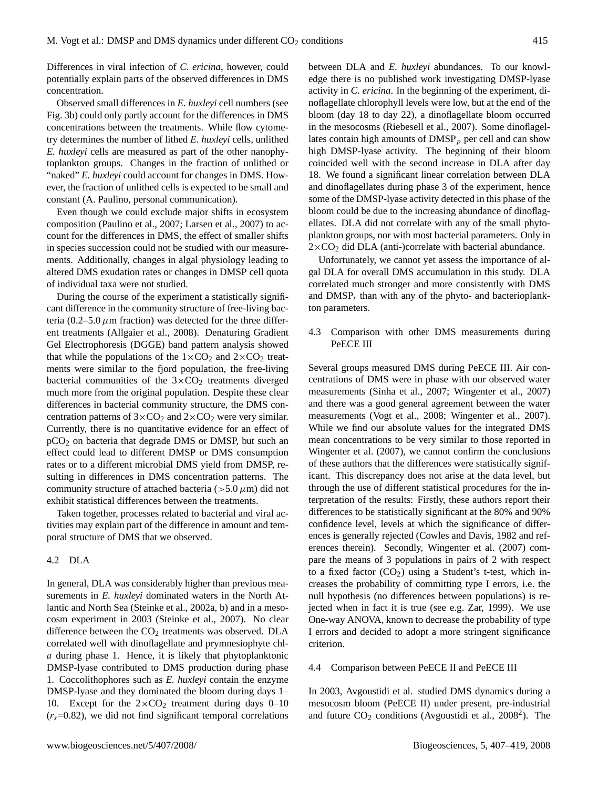Differences in viral infection of *C. ericina*, however, could potentially explain parts of the observed differences in DMS concentration.

Observed small differences in *E. huxleyi* cell numbers (see Fig. 3b) could only partly account for the differences in DMS concentrations between the treatments. While flow cytometry determines the number of lithed *E. huxleyi* cells, unlithed *E. huxleyi* cells are measured as part of the other nanophytoplankton groups. Changes in the fraction of unlithed or "naked" *E. huxleyi* could account for changes in DMS. However, the fraction of unlithed cells is expected to be small and constant (A. Paulino, personal communication).

Even though we could exclude major shifts in ecosystem composition (Paulino et al., 2007; Larsen et al., 2007) to account for the differences in DMS, the effect of smaller shifts in species succession could not be studied with our measurements. Additionally, changes in algal physiology leading to altered DMS exudation rates or changes in DMSP cell quota of individual taxa were not studied.

During the course of the experiment a statistically significant difference in the community structure of free-living bacteria (0.2–5.0  $\mu$ m fraction) was detected for the three different treatments (Allgaier et al., 2008). Denaturing Gradient Gel Electrophoresis (DGGE) band pattern analysis showed that while the populations of the  $1\times CO_2$  and  $2\times CO_2$  treatments were similar to the fjord population, the free-living bacterial communities of the  $3\times$ CO<sub>2</sub> treatments diverged much more from the original population. Despite these clear differences in bacterial community structure, the DMS concentration patterns of  $3 \times CO_2$  and  $2 \times CO_2$  were very similar. Currently, there is no quantitative evidence for an effect of pCO<sup>2</sup> on bacteria that degrade DMS or DMSP, but such an effect could lead to different DMSP or DMS consumption rates or to a different microbial DMS yield from DMSP, resulting in differences in DMS concentration patterns. The community structure of attached bacteria ( $> 5.0 \,\mu$ m) did not exhibit statistical differences between the treatments.

Taken together, processes related to bacterial and viral activities may explain part of the difference in amount and temporal structure of DMS that we observed.

## 4.2 DLA

In general, DLA was considerably higher than previous measurements in *E. huxleyi* dominated waters in the North Atlantic and North Sea (Steinke et al., 2002a, b) and in a mesocosm experiment in 2003 (Steinke et al., 2007). No clear difference between the  $CO<sub>2</sub>$  treatments was observed. DLA correlated well with dinoflagellate and prymnesiophyte chla during phase 1. Hence, it is likely that phytoplanktonic DMSP-lyase contributed to DMS production during phase 1. Coccolithophores such as *E. huxleyi* contain the enzyme DMSP-lyase and they dominated the bloom during days 1– 10. Except for the  $2 \times CO_2$  treatment during days 0–10  $(r<sub>s</sub>=0.82)$ , we did not find significant temporal correlations between DLA and *E. huxleyi* abundances. To our knowledge there is no published work investigating DMSP-lyase activity in *C. ericina*. In the beginning of the experiment, dinoflagellate chlorophyll levels were low, but at the end of the bloom (day 18 to day 22), a dinoflagellate bloom occurred in the mesocosms (Riebesell et al., 2007). Some dinoflagellates contain high amounts of  $\text{DMSP}_p$  per cell and can show high DMSP-lyase activity. The beginning of their bloom coincided well with the second increase in DLA after day 18. We found a significant linear correlation between DLA and dinoflagellates during phase 3 of the experiment, hence some of the DMSP-lyase activity detected in this phase of the bloom could be due to the increasing abundance of dinoflagellates. DLA did not correlate with any of the small phytoplankton groups, nor with most bacterial parameters. Only in  $2\times$ CO<sub>2</sub> did DLA (anti-)correlate with bacterial abundance.

Unfortunately, we cannot yet assess the importance of algal DLA for overall DMS accumulation in this study. DLA correlated much stronger and more consistently with DMS and  $DMSP<sub>t</sub>$  than with any of the phyto- and bacterioplankton parameters.

4.3 Comparison with other DMS measurements during PeECE III

Several groups measured DMS during PeECE III. Air concentrations of DMS were in phase with our observed water measurements (Sinha et al., 2007; Wingenter et al., 2007) and there was a good general agreement between the water measurements (Vogt et al., 2008; Wingenter et al., 2007). While we find our absolute values for the integrated DMS mean concentrations to be very similar to those reported in Wingenter et al. (2007), we cannot confirm the conclusions of these authors that the differences were statistically significant. This discrepancy does not arise at the data level, but through the use of different statistical procedures for the interpretation of the results: Firstly, these authors report their differences to be statistically significant at the 80% and 90% confidence level, levels at which the significance of differences is generally rejected (Cowles and Davis, 1982 and references therein). Secondly, Wingenter et al. (2007) compare the means of 3 populations in pairs of 2 with respect to a fixed factor  $(CO_2)$  using a Student's t-test, which increases the probability of committing type I errors, i.e. the null hypothesis (no differences between populations) is rejected when in fact it is true (see e.g. Zar, 1999). We use One-way ANOVA, known to decrease the probability of type I errors and decided to adopt a more stringent significance criterion.

#### 4.4 Comparison between PeECE II and PeECE III

In 2003, Avgoustidi et al. studied DMS dynamics during a mesocosm bloom (PeECE II) under present, pre-industrial and future  $CO<sub>2</sub>$  $CO<sub>2</sub>$  $CO<sub>2</sub>$  conditions (Avgoustidi et al., 2008<sup>2</sup>). The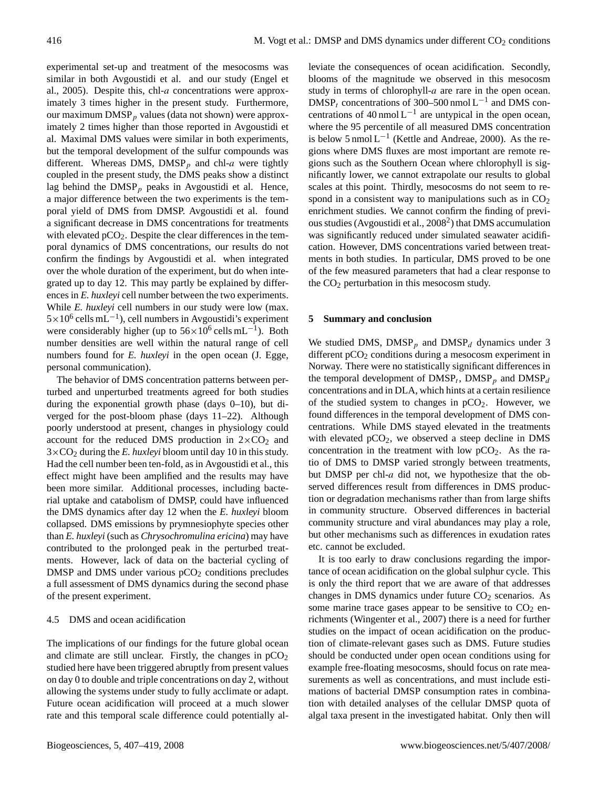experimental set-up and treatment of the mesocosms was similar in both Avgoustidi et al. and our study (Engel et al., 2005). Despite this, chl-a concentrations were approximately 3 times higher in the present study. Furthermore, our maximum  $\text{DMSP}_p$  values (data not shown) were approximately 2 times higher than those reported in Avgoustidi et al. Maximal DMS values were similar in both experiments, but the temporal development of the sulfur compounds was different. Whereas DMS,  $\text{DMSP}_p$  and chl-a were tightly coupled in the present study, the DMS peaks show a distinct lag behind the  $DMSP<sub>p</sub>$  peaks in Avgoustidi et al. Hence, a major difference between the two experiments is the temporal yield of DMS from DMSP. Avgoustidi et al. found a significant decrease in DMS concentrations for treatments with elevated  $pCO<sub>2</sub>$ . Despite the clear differences in the temporal dynamics of DMS concentrations, our results do not confirm the findings by Avgoustidi et al. when integrated over the whole duration of the experiment, but do when integrated up to day 12. This may partly be explained by differences in *E. huxleyi* cell number between the two experiments. While *E. huxleyi* cell numbers in our study were low (max.  $5 \times 10^6$  cells mL<sup>-1</sup>), cell numbers in Avgoustidi's experiment were considerably higher (up to  $56 \times 10^6$  cells mL<sup>-1</sup>). Both number densities are well within the natural range of cell numbers found for *E. huxleyi* in the open ocean (J. Egge, personal communication).

The behavior of DMS concentration patterns between perturbed and unperturbed treatments agreed for both studies during the exponential growth phase (days 0–10), but diverged for the post-bloom phase (days 11–22). Although poorly understood at present, changes in physiology could account for the reduced DMS production in  $2\times CO_2$  and  $3\times$ CO<sub>2</sub> during the *E. huxleyi* bloom until day 10 in this study. Had the cell number been ten-fold, as in Avgoustidi et al., this effect might have been amplified and the results may have been more similar. Additional processes, including bacterial uptake and catabolism of DMSP, could have influenced the DMS dynamics after day 12 when the *E. huxleyi* bloom collapsed. DMS emissions by prymnesiophyte species other than *E. huxleyi* (such as *Chrysochromulina ericina*) may have contributed to the prolonged peak in the perturbed treatments. However, lack of data on the bacterial cycling of DMSP and DMS under various  $pCO<sub>2</sub>$  conditions precludes a full assessment of DMS dynamics during the second phase of the present experiment.

#### 4.5 DMS and ocean acidification

The implications of our findings for the future global ocean and climate are still unclear. Firstly, the changes in  $pCO<sub>2</sub>$ studied here have been triggered abruptly from present values on day 0 to double and triple concentrations on day 2, without allowing the systems under study to fully acclimate or adapt. Future ocean acidification will proceed at a much slower rate and this temporal scale difference could potentially alleviate the consequences of ocean acidification. Secondly, blooms of the magnitude we observed in this mesocosm study in terms of chlorophyll-a are rare in the open ocean. DMSP<sub>t</sub> concentrations of 300–500 nmol L<sup>-1</sup> and DMS concentrations of 40 nmol  $L^{-1}$  are untypical in the open ocean, where the 95 percentile of all measured DMS concentration is below 5 nmol  $L^{-1}$  (Kettle and Andreae, 2000). As the regions where DMS fluxes are most important are remote regions such as the Southern Ocean where chlorophyll is significantly lower, we cannot extrapolate our results to global scales at this point. Thirdly, mesocosms do not seem to respond in a consistent way to manipulations such as in  $CO<sub>2</sub>$ enrichment studies. We cannot confirm the finding of previ-ous studies (Avgoustidi et al., [2](#page-1-1)008<sup>2</sup>) that DMS accumulation was significantly reduced under simulated seawater acidification. However, DMS concentrations varied between treatments in both studies. In particular, DMS proved to be one of the few measured parameters that had a clear response to the CO<sup>2</sup> perturbation in this mesocosm study.

#### **5 Summary and conclusion**

We studied DMS,  $DMSP_p$  and  $DMSP_d$  dynamics under 3 different  $pCO<sub>2</sub>$  conditions during a mesocosm experiment in Norway. There were no statistically significant differences in the temporal development of  $\text{DMSP}_t$ ,  $\text{DMSP}_p$  and  $\text{DMSP}_a$ concentrations and in DLA, which hints at a certain resilience of the studied system to changes in  $pCO<sub>2</sub>$ . However, we found differences in the temporal development of DMS concentrations. While DMS stayed elevated in the treatments with elevated  $pCO<sub>2</sub>$ , we observed a steep decline in DMS concentration in the treatment with low  $pCO<sub>2</sub>$ . As the ratio of DMS to DMSP varied strongly between treatments, but DMSP per chl-a did not, we hypothesize that the observed differences result from differences in DMS production or degradation mechanisms rather than from large shifts in community structure. Observed differences in bacterial community structure and viral abundances may play a role, but other mechanisms such as differences in exudation rates etc. cannot be excluded.

It is too early to draw conclusions regarding the importance of ocean acidification on the global sulphur cycle. This is only the third report that we are aware of that addresses changes in DMS dynamics under future  $CO<sub>2</sub>$  scenarios. As some marine trace gases appear to be sensitive to  $CO<sub>2</sub>$  enrichments (Wingenter et al., 2007) there is a need for further studies on the impact of ocean acidification on the production of climate-relevant gases such as DMS. Future studies should be conducted under open ocean conditions using for example free-floating mesocosms, should focus on rate measurements as well as concentrations, and must include estimations of bacterial DMSP consumption rates in combination with detailed analyses of the cellular DMSP quota of algal taxa present in the investigated habitat. Only then will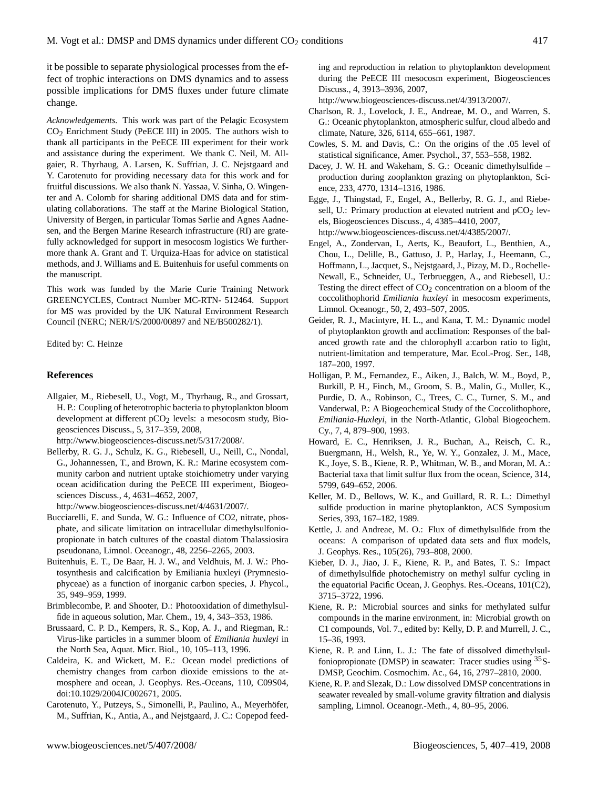it be possible to separate physiological processes from the effect of trophic interactions on DMS dynamics and to assess possible implications for DMS fluxes under future climate change.

*Acknowledgements.* This work was part of the Pelagic Ecosystem  $CO<sub>2</sub>$  Enrichment Study (PeECE III) in 2005. The authors wish to thank all participants in the PeECE III experiment for their work and assistance during the experiment. We thank C. Neil, M. Allgaier, R. Thyrhaug, A. Larsen, K. Suffrian, J. C. Nejstgaard and Y. Carotenuto for providing necessary data for this work and for fruitful discussions. We also thank N. Yassaa, V. Sinha, O. Wingenter and A. Colomb for sharing additional DMS data and for stimulating collaborations. The staff at the Marine Biological Station, University of Bergen, in particular Tomas Sørlie and Agnes Aadnesen, and the Bergen Marine Research infrastructure (RI) are gratefully acknowledged for support in mesocosm logistics We furthermore thank A. Grant and T. Urquiza-Haas for advice on statistical methods, and J. Williams and E. Buitenhuis for useful comments on the manuscript.

This work was funded by the Marie Curie Training Network GREENCYCLES, Contract Number MC-RTN- 512464. Support for MS was provided by the UK Natural Environment Research Council (NERC; NER/I/S/2000/00897 and NE/B500282/1).

Edited by: C. Heinze

#### **References**

Allgaier, M., Riebesell, U., Vogt, M., Thyrhaug, R., and Grossart, H. P.: Coupling of heterotrophic bacteria to phytoplankton bloom development at different  $pCO<sub>2</sub>$  levels: a mesocosm study, Biogeosciences Discuss., 5, 317–359, 2008,

[http://www.biogeosciences-discuss.net/5/317/2008/.](http://www.biogeosciences-discuss.net/5/317/2008/)

Bellerby, R. G. J., Schulz, K. G., Riebesell, U., Neill, C., Nondal, G., Johannessen, T., and Brown, K. R.: Marine ecosystem community carbon and nutrient uptake stoichiometry under varying ocean acidification during the PeECE III experiment, Biogeosciences Discuss., 4, 4631–4652, 2007,

[http://www.biogeosciences-discuss.net/4/4631/2007/.](http://www.biogeosciences-discuss.net/4/4631/2007/)

- Bucciarelli, E. and Sunda, W. G.: Influence of CO2, nitrate, phosphate, and silicate limitation on intracellular dimethylsulfoniopropionate in batch cultures of the coastal diatom Thalassiosira pseudonana, Limnol. Oceanogr., 48, 2256–2265, 2003.
- Buitenhuis, E. T., De Baar, H. J. W., and Veldhuis, M. J. W.: Photosynthesis and calcification by Emiliania huxleyi (Prymnesiophyceae) as a function of inorganic carbon species, J. Phycol., 35, 949–959, 1999.
- Brimblecombe, P. and Shooter, D.: Photooxidation of dimethylsulfide in aqueous solution, Mar. Chem., 19, 4, 343–353, 1986.
- Brussaard, C. P. D., Kempers, R. S., Kop, A. J., and Riegman, R.: Virus-like particles in a summer bloom of *Emiliania huxleyi* in the North Sea, Aquat. Micr. Biol., 10, 105–113, 1996.
- Caldeira, K. and Wickett, M. E.: Ocean model predictions of chemistry changes from carbon dioxide emissions to the atmosphere and ocean, J. Geophys. Res.-Oceans, 110, C09S04, doi:10.1029/2004JC002671, 2005.
- Carotenuto, Y., Putzeys, S., Simonelli, P., Paulino, A., Meyerhöfer, M., Suffrian, K., Antia, A., and Nejstgaard, J. C.: Copepod feed-

ing and reproduction in relation to phytoplankton development during the PeECE III mesocosm experiment, Biogeosciences Discuss., 4, 3913–3936, 2007,

[http://www.biogeosciences-discuss.net/4/3913/2007/.](http://www.biogeosciences-discuss.net/4/3913/2007/)

- Charlson, R. J., Lovelock, J. E., Andreae, M. O., and Warren, S. G.: Oceanic phytoplankton, atmospheric sulfur, cloud albedo and climate, Nature, 326, 6114, 655–661, 1987.
- Cowles, S. M. and Davis, C.: On the origins of the .05 level of statistical significance, Amer. Psychol., 37, 553–558, 1982.
- Dacey, J. W. H. and Wakeham, S. G.: Oceanic dimethylsulfide production during zooplankton grazing on phytoplankton, Science, 233, 4770, 1314–1316, 1986.
- Egge, J., Thingstad, F., Engel, A., Bellerby, R. G. J., and Riebesell, U.: Primary production at elevated nutrient and  $pCO<sub>2</sub>$  levels, Biogeosciences Discuss., 4, 4385–4410, 2007, [http://www.biogeosciences-discuss.net/4/4385/2007/.](http://www.biogeosciences-discuss.net/4/4385/2007/)
- Engel, A., Zondervan, I., Aerts, K., Beaufort, L., Benthien, A., Chou, L., Delille, B., Gattuso, J. P., Harlay, J., Heemann, C., Hoffmann, L., Jacquet, S., Nejstgaard, J., Pizay, M. D., Rochelle-Newall, E., Schneider, U., Terbrueggen, A., and Riebesell, U.: Testing the direct effect of  $CO<sub>2</sub>$  concentration on a bloom of the coccolithophorid *Emiliania huxleyi* in mesocosm experiments, Limnol. Oceanogr., 50, 2, 493–507, 2005.
- Geider, R. J., Macintyre, H. L., and Kana, T. M.: Dynamic model of phytoplankton growth and acclimation: Responses of the balanced growth rate and the chlorophyll a:carbon ratio to light, nutrient-limitation and temperature, Mar. Ecol.-Prog. Ser., 148, 187–200, 1997.
- Holligan, P. M., Fernandez, E., Aiken, J., Balch, W. M., Boyd, P., Burkill, P. H., Finch, M., Groom, S. B., Malin, G., Muller, K., Purdie, D. A., Robinson, C., Trees, C. C., Turner, S. M., and Vanderwal, P.: A Biogeochemical Study of the Coccolithophore, *Emiliania-Huxleyi*, in the North-Atlantic, Global Biogeochem. Cy., 7, 4, 879–900, 1993.
- Howard, E. C., Henriksen, J. R., Buchan, A., Reisch, C. R., Buergmann, H., Welsh, R., Ye, W. Y., Gonzalez, J. M., Mace, K., Joye, S. B., Kiene, R. P., Whitman, W. B., and Moran, M. A.: Bacterial taxa that limit sulfur flux from the ocean, Science, 314, 5799, 649–652, 2006.
- Keller, M. D., Bellows, W. K., and Guillard, R. R. L.: Dimethyl sulfide production in marine phytoplankton, ACS Symposium Series, 393, 167–182, 1989.
- Kettle, J. and Andreae, M. O.: Flux of dimethylsulfide from the oceans: A comparison of updated data sets and flux models, J. Geophys. Res., 105(26), 793–808, 2000.
- Kieber, D. J., Jiao, J. F., Kiene, R. P., and Bates, T. S.: Impact of dimethylsulfide photochemistry on methyl sulfur cycling in the equatorial Pacific Ocean, J. Geophys. Res.-Oceans, 101(C2), 3715–3722, 1996.
- Kiene, R. P.: Microbial sources and sinks for methylated sulfur compounds in the marine environment, in: Microbial growth on C1 compounds, Vol. 7., edited by: Kelly, D. P. and Murrell, J. C., 15–36, 1993.
- Kiene, R. P. and Linn, L. J.: The fate of dissolved dimethylsulfoniopropionate (DMSP) in seawater: Tracer studies using <sup>35</sup>S-DMSP, Geochim. Cosmochim. Ac., 64, 16, 2797–2810, 2000.
- Kiene, R. P. and Slezak, D.: Low dissolved DMSP concentrations in seawater revealed by small-volume gravity filtration and dialysis sampling, Limnol. Oceanogr.-Meth., 4, 80–95, 2006.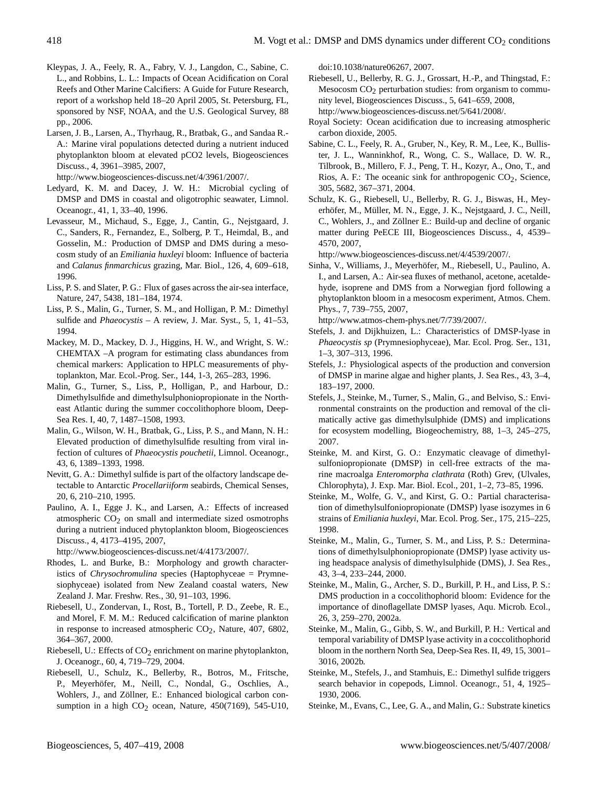- Kleypas, J. A., Feely, R. A., Fabry, V. J., Langdon, C., Sabine, C. L., and Robbins, L. L.: Impacts of Ocean Acidification on Coral Reefs and Other Marine Calcifiers: A Guide for Future Research, report of a workshop held 18–20 April 2005, St. Petersburg, FL, sponsored by NSF, NOAA, and the U.S. Geological Survey, 88 pp., 2006.
- Larsen, J. B., Larsen, A., Thyrhaug, R., Bratbak, G., and Sandaa R.- A.: Marine viral populations detected during a nutrient induced phytoplankton bloom at elevated pCO2 levels, Biogeosciences Discuss., 4, 3961–3985, 2007,

[http://www.biogeosciences-discuss.net/4/3961/2007/.](http://www.biogeosciences-discuss.net/4/3961/2007/)

- Ledyard, K. M. and Dacey, J. W. H.: Microbial cycling of DMSP and DMS in coastal and oligotrophic seawater, Limnol. Oceanogr., 41, 1, 33–40, 1996.
- Levasseur, M., Michaud, S., Egge, J., Cantin, G., Nejstgaard, J. C., Sanders, R., Fernandez, E., Solberg, P. T., Heimdal, B., and Gosselin, M.: Production of DMSP and DMS during a mesocosm study of an *Emiliania huxleyi* bloom: Influence of bacteria and *Calanus finmarchicus* grazing, Mar. Biol., 126, 4, 609–618, 1996.
- Liss, P. S. and Slater, P. G.: Flux of gases across the air-sea interface, Nature, 247, 5438, 181–184, 1974.
- Liss, P. S., Malin, G., Turner, S. M., and Holligan, P. M.: Dimethyl sulfide and *Phaeocystis* – A review, J. Mar. Syst., 5, 1, 41–53, 1994.
- Mackey, M. D., Mackey, D. J., Higgins, H. W., and Wright, S. W.: CHEMTAX –A program for estimating class abundances from chemical markers: Application to HPLC measurements of phytoplankton, Mar. Ecol.-Prog. Ser., 144, 1-3, 265–283, 1996.
- Malin, G., Turner, S., Liss, P., Holligan, P., and Harbour, D.: Dimethylsulfide and dimethylsulphoniopropionate in the Northeast Atlantic during the summer coccolithophore bloom, Deep-Sea Res. I, 40, 7, 1487–1508, 1993.
- Malin, G., Wilson, W. H., Bratbak, G., Liss, P. S., and Mann, N. H.: Elevated production of dimethylsulfide resulting from viral infection of cultures of *Phaeocystis pouchetii*, Limnol. Oceanogr., 43, 6, 1389–1393, 1998.
- Nevitt, G. A.: Dimethyl sulfide is part of the olfactory landscape detectable to Antarctic *Procellariiform* seabirds, Chemical Senses, 20, 6, 210–210, 1995.
- Paulino, A. I., Egge J. K., and Larsen, A.: Effects of increased atmospheric CO<sub>2</sub> on small and intermediate sized osmotrophs during a nutrient induced phytoplankton bloom, Biogeosciences Discuss., 4, 4173–4195, 2007,

[http://www.biogeosciences-discuss.net/4/4173/2007/.](http://www.biogeosciences-discuss.net/4/4173/2007/)

- Rhodes, L. and Burke, B.: Morphology and growth characteristics of *Chrysochromulina* species (Haptophyceae = Prymnesiophyceae) isolated from New Zealand coastal waters, New Zealand J. Mar. Freshw. Res., 30, 91–103, 1996.
- Riebesell, U., Zondervan, I., Rost, B., Tortell, P. D., Zeebe, R. E., and Morel, F. M. M.: Reduced calcification of marine plankton in response to increased atmospheric  $CO<sub>2</sub>$ , Nature, 407, 6802, 364–367, 2000.
- Riebesell, U.: Effects of  $CO<sub>2</sub>$  enrichment on marine phytoplankton, J. Oceanogr., 60, 4, 719–729, 2004.
- Riebesell, U., Schulz, K., Bellerby, R., Botros, M., Fritsche, P., Meyerhöfer, M., Neill, C., Nondal, G., Oschlies, A., Wohlers, J., and Zöllner, E.: Enhanced biological carbon consumption in a high  $CO<sub>2</sub>$  ocean, Nature, 450(7169), 545-U10,

doi:10.1038/nature06267, 2007.

- Riebesell, U., Bellerby, R. G. J., Grossart, H.-P., and Thingstad, F.: Mesocosm  $CO<sub>2</sub>$  perturbation studies: from organism to community level, Biogeosciences Discuss., 5, 641–659, 2008, [http://www.biogeosciences-discuss.net/5/641/2008/.](http://www.biogeosciences-discuss.net/5/641/2008/)
- Royal Society: Ocean acidification due to increasing atmospheric carbon dioxide, 2005.
- Sabine, C. L., Feely, R. A., Gruber, N., Key, R. M., Lee, K., Bullister, J. L., Wanninkhof, R., Wong, C. S., Wallace, D. W. R., Tilbrook, B., Millero, F. J., Peng, T. H., Kozyr, A., Ono, T., and Rios, A. F.: The oceanic sink for anthropogenic  $CO<sub>2</sub>$ , Science, 305, 5682, 367–371, 2004.
- Schulz, K. G., Riebesell, U., Bellerby, R. G. J., Biswas, H., Meyerhöfer, M., Müller, M. N., Egge, J. K., Nejstgaard, J. C., Neill, C., Wohlers, J., and Zöllner E.: Build-up and decline of organic matter during PeECE III, Biogeosciences Discuss., 4, 4539– 4570, 2007,

[http://www.biogeosciences-discuss.net/4/4539/2007/.](http://www.biogeosciences-discuss.net/4/4539/2007/)

Sinha, V., Williams, J., Meyerhöfer, M., Riebesell, U., Paulino, A. I., and Larsen, A.: Air-sea fluxes of methanol, acetone, acetaldehyde, isoprene and DMS from a Norwegian fjord following a phytoplankton bloom in a mesocosm experiment, Atmos. Chem. Phys., 7, 739–755, 2007,

[http://www.atmos-chem-phys.net/7/739/2007/.](http://www.atmos-chem-phys.net/7/739/2007/)

- Stefels, J. and Dijkhuizen, L.: Characteristics of DMSP-lyase in *Phaeocystis sp* (Prymnesiophyceae), Mar. Ecol. Prog. Ser., 131, 1–3, 307–313, 1996.
- Stefels, J.: Physiological aspects of the production and conversion of DMSP in marine algae and higher plants, J. Sea Res., 43, 3–4, 183–197, 2000.
- Stefels, J., Steinke, M., Turner, S., Malin, G., and Belviso, S.: Environmental constraints on the production and removal of the climatically active gas dimethylsulphide (DMS) and implications for ecosystem modelling, Biogeochemistry, 88, 1–3, 245–275, 2007.
- Steinke, M. and Kirst, G. O.: Enzymatic cleavage of dimethylsulfoniopropionate (DMSP) in cell-free extracts of the marine macroalga *Enteromorpha clathrata* (Roth) Grev, (Ulvales, Chlorophyta), J. Exp. Mar. Biol. Ecol., 201, 1–2, 73–85, 1996.
- Steinke, M., Wolfe, G. V., and Kirst, G. O.: Partial characterisation of dimethylsulfoniopropionate (DMSP) lyase isozymes in 6 strains of *Emiliania huxleyi*, Mar. Ecol. Prog. Ser., 175, 215–225, 1998.
- Steinke, M., Malin, G., Turner, S. M., and Liss, P. S.: Determinations of dimethylsulphoniopropionate (DMSP) lyase activity using headspace analysis of dimethylsulphide (DMS), J. Sea Res., 43, 3–4, 233–244, 2000.
- Steinke, M., Malin, G., Archer, S. D., Burkill, P. H., and Liss, P. S.: DMS production in a coccolithophorid bloom: Evidence for the importance of dinoflagellate DMSP lyases, Aqu. Microb. Ecol., 26, 3, 259–270, 2002a.
- Steinke, M., Malin, G., Gibb, S. W., and Burkill, P. H.: Vertical and temporal variability of DMSP lyase activity in a coccolithophorid bloom in the northern North Sea, Deep-Sea Res. II, 49, 15, 3001– 3016, 2002b.
- Steinke, M., Stefels, J., and Stamhuis, E.: Dimethyl sulfide triggers search behavior in copepods, Limnol. Oceanogr., 51, 4, 1925– 1930, 2006.
- Steinke, M., Evans, C., Lee, G. A., and Malin, G.: Substrate kinetics